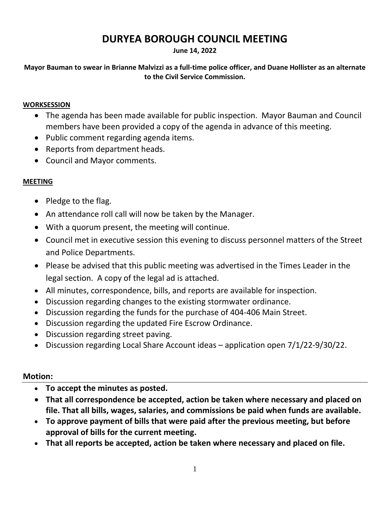# **DURYEA BOROUGH COUNCIL MEETING**

#### **June 14, 2022**

**Mayor Bauman to swear in Brianne Malvizzi as a full-time police officer, and Duane Hollister as an alternate to the Civil Service Commission.**

#### **WORKSESSION**

- The agenda has been made available for public inspection. Mayor Bauman and Council members have been provided a copy of the agenda in advance of this meeting.
- Public comment regarding agenda items.
- Reports from department heads.
- Council and Mayor comments.

## **MEETING**

- Pledge to the flag.
- An attendance roll call will now be taken by the Manager.
- With a quorum present, the meeting will continue.
- Council met in executive session this evening to discuss personnel matters of the Street and Police Departments.
- Please be advised that this public meeting was advertised in the Times Leader in the legal section. A copy of the legal ad is attached.
- All minutes, correspondence, bills, and reports are available for inspection.
- Discussion regarding changes to the existing stormwater ordinance.
- Discussion regarding the funds for the purchase of 404-406 Main Street.
- Discussion regarding the updated Fire Escrow Ordinance.
- Discussion regarding street paving.
- Discussion regarding Local Share Account ideas application open 7/1/22-9/30/22.

### **Motion:**

- **To accept the minutes as posted.**
- **That all correspondence be accepted, action be taken where necessary and placed on file. That all bills, wages, salaries, and commissions be paid when funds are available.**
- **To approve payment of bills that were paid after the previous meeting, but before approval of bills for the current meeting.**
- **That all reports be accepted, action be taken where necessary and placed on file.**